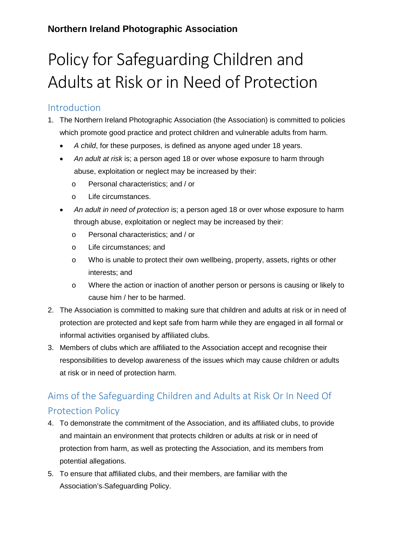#### **Northern Ireland Photographic Association**

## Policy for Safeguarding Children and Adults at Risk or in Need of Protection

#### Introduction

- 1. The Northern Ireland Photographic Association (the Association) is committed to policies which promote good practice and protect children and vulnerable adults from harm.
	- *A child*, for these purposes, is defined as anyone aged under 18 years.
	- *An adult at risk* is; a person aged 18 or over whose exposure to harm through abuse, exploitation or neglect may be increased by their:
		- o Personal characteristics; and / or
		- o Life circumstances.
	- *An adult in need of protection* is; a person aged 18 or over whose exposure to harm through abuse, exploitation or neglect may be increased by their:
		- o Personal characteristics; and / or
		- o Life circumstances; and
		- o Who is unable to protect their own wellbeing, property, assets, rights or other interests; and
		- o Where the action or inaction of another person or persons is causing or likely to cause him / her to be harmed.
- 2. The Association is committed to making sure that children and adults at risk or in need of protection are protected and kept safe from harm while they are engaged in all formal or informal activities organised by affiliated clubs.
- 3. Members of clubs which are affiliated to the Association accept and recognise their responsibilities to develop awareness of the issues which may cause children or adults at risk or in need of protection harm.

## Aims of the Safeguarding Children and Adults at Risk Or In Need Of Protection Policy

- 4. To demonstrate the commitment of the Association, and its affiliated clubs, to provide and maintain an environment that protects children or adults at risk or in need of protection from harm, as well as protecting the Association, and its members from potential allegations.
- 5. To ensure that affiliated clubs, and their members, are familiar with the Association's Safeguarding Policy.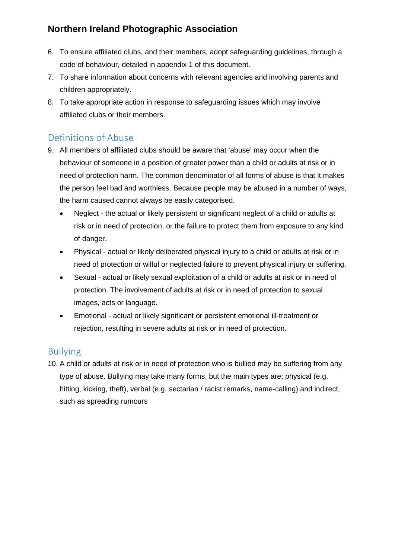### **Northern Ireland Photographic Association**

- 6. To ensure affiliated clubs, and their members, adopt safeguarding guidelines, through a code of behaviour, detailed in appendix 1 of this document.
- 7. To share information about concerns with relevant agencies and involving parents and children appropriately.
- 8. To take appropriate action in response to safeguarding issues which may involve affiliated clubs or their members.

### Definitions of Abuse

- 9. All members of affiliated clubs should be aware that 'abuse' may occur when the behaviour of someone in a position of greater power than a child or adults at risk or in need of protection harm. The common denominator of all forms of abuse is that it makes the person feel bad and worthless. Because people may be abused in a number of ways, the harm caused cannot always be easily categorised.
	- Neglect the actual or likely persistent or significant neglect of a child or adults at risk or in need of protection, or the failure to protect them from exposure to any kind of danger.
	- Physical actual or likely deliberated physical injury to a child or adults at risk or in need of protection or wilful or neglected failure to prevent physical injury or suffering.
	- Sexual actual or likely sexual exploitation of a child or adults at risk or in need of protection. The involvement of adults at risk or in need of protection to sexual images, acts or language.
	- Emotional actual or likely significant or persistent emotional ill-treatment or rejection, resulting in severe adults at risk or in need of protection.

### Bullying

10. A child or adults at risk or in need of protection who is bullied may be suffering from any type of abuse. Bullying may take many forms, but the main types are; physical (e.g. hitting, kicking, theft), verbal (e.g. sectarian / racist remarks, name-calling) and indirect, such as spreading rumours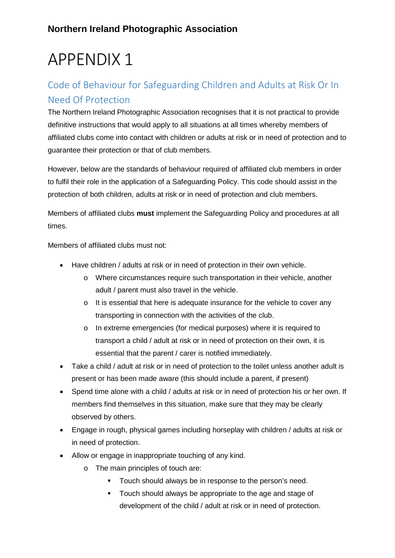# APPENDIX 1

### Code of Behaviour for Safeguarding Children and Adults at Risk Or In Need Of Protection

The Northern Ireland Photographic Association recognises that it is not practical to provide definitive instructions that would apply to all situations at all times whereby members of affiliated clubs come into contact with children or adults at risk or in need of protection and to guarantee their protection or that of club members.

However, below are the standards of behaviour required of affiliated club members in order to fulfil their role in the application of a Safeguarding Policy. This code should assist in the protection of both children, adults at risk or in need of protection and club members.

Members of affiliated clubs **must** implement the Safeguarding Policy and procedures at all times.

Members of affiliated clubs must not:

- Have children / adults at risk or in need of protection in their own vehicle.
	- o Where circumstances require such transportation in their vehicle, another adult / parent must also travel in the vehicle.
	- o It is essential that here is adequate insurance for the vehicle to cover any transporting in connection with the activities of the club.
	- o In extreme emergencies (for medical purposes) where it is required to transport a child / adult at risk or in need of protection on their own, it is essential that the parent / carer is notified immediately.
- Take a child / adult at risk or in need of protection to the toilet unless another adult is present or has been made aware (this should include a parent, if present)
- Spend time alone with a child / adults at risk or in need of protection his or her own. If members find themselves in this situation, make sure that they may be clearly observed by others.
- Engage in rough, physical games including horseplay with children / adults at risk or in need of protection.
- Allow or engage in inappropriate touching of any kind.
	- o The main principles of touch are:
		- **Touch should always be in response to the person's need.**
		- **Touch should always be appropriate to the age and stage of** development of the child / adult at risk or in need of protection.